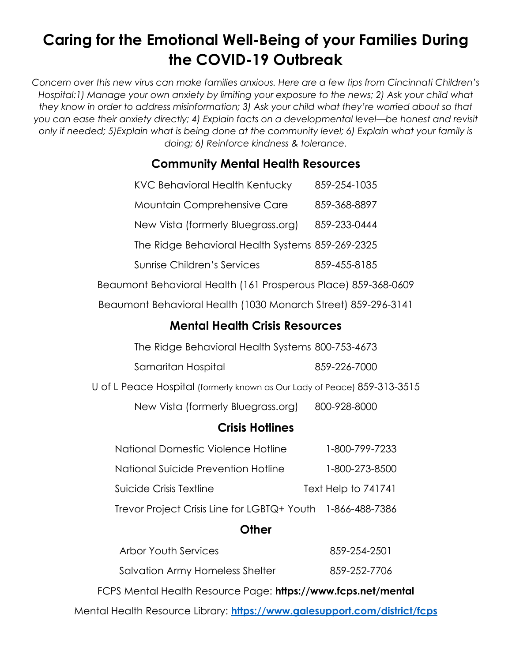# **Caring for the Emotional Well-Being of your Families During the COVID-19 Outbreak**

*Concern over this new virus can make families anxious. Here are a few tips from Cincinnati Children's Hospital:1) Manage your own anxiety by limiting your exposure to the news; 2) Ask your child what they know in order to address misinformation; 3) Ask your child what they're worried about so that you can ease their anxiety directly; 4) Explain facts on a developmental level—be honest and revisit only if needed; 5)Explain what is being done at the community level; 6) Explain what your family is doing; 6) Reinforce kindness & tolerance.*

### **Community Mental Health Resources**

| <b>KVC Behavioral Health Kentucky</b>                          | 859-254-1035 |
|----------------------------------------------------------------|--------------|
| Mountain Comprehensive Care                                    | 859-368-8897 |
| New Vista (formerly Bluegrass.org)                             | 859-233-0444 |
| The Ridge Behavioral Health Systems 859-269-2325               |              |
| Sunrise Children's Services                                    | 859-455-8185 |
| Beaumont Behavioral Health (161 Prosperous Place) 859-368-0609 |              |

Beaumont Behavioral Health (1030 Monarch Street) 859-296-3141

### **Mental Health Crisis Resources**

The Ridge Behavioral Health Systems 800-753-4673

| Samaritan Hospital | 859-226-7000 |
|--------------------|--------------|
|--------------------|--------------|

U of L Peace Hospital (formerly known as Our Lady of Peace) 859-313-3515

New Vista (formerly Bluegrass.org) 800-928-8000

#### **Crisis Hotlines**

| National Domestic Violence Hotline                         | 1-800-799-7233      |
|------------------------------------------------------------|---------------------|
| National Suicide Prevention Hotline                        | 1-800-273-8500      |
| Suicide Crisis Textline                                    | Text Help to 741741 |
| Trevor Project Crisis Line for LGBTQ+ Youth 1-866-488-7386 |                     |

#### **Other**

| <b>Arbor Youth Services</b>                                               | 859-254-2501 |  |
|---------------------------------------------------------------------------|--------------|--|
| Salvation Army Homeless Shelter                                           | 859-252-7706 |  |
| FCPS Mental Health Resource Page: https://www.fcps.net/mental             |              |  |
| Mental Health Resource Library: https://www.galesupport.com/district/fcps |              |  |